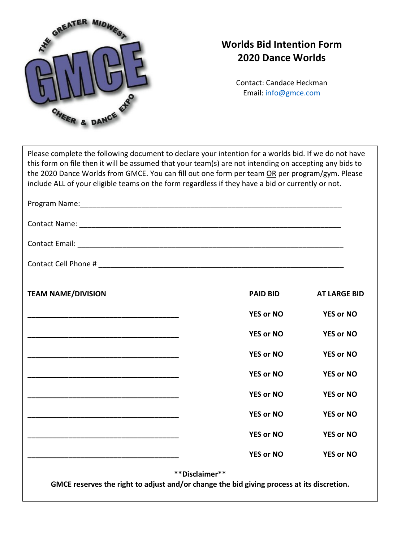

## **Worlds Bid Intention Form 2020 Dance Worlds**

Contact: Candace Heckman Email: info@gmce.com

| Please complete the following document to declare your intention for a worlds bid. If we do not have   |
|--------------------------------------------------------------------------------------------------------|
| this form on file then it will be assumed that your team(s) are not intending on accepting any bids to |
| the 2020 Dance Worlds from GMCE. You can fill out one form per team OR per program/gym. Please         |
| include ALL of your eligible teams on the form regardless if they have a bid or currently or not.      |
|                                                                                                        |

| <b>TEAM NAME/DIVISION</b>                                                                 | <b>PAID BID</b>  | <b>AT LARGE BID</b> |
|-------------------------------------------------------------------------------------------|------------------|---------------------|
|                                                                                           | <b>YES or NO</b> | <b>YES or NO</b>    |
|                                                                                           | <b>YES or NO</b> | <b>YES or NO</b>    |
|                                                                                           | <b>YES or NO</b> | <b>YES or NO</b>    |
|                                                                                           | <b>YES or NO</b> | <b>YES or NO</b>    |
|                                                                                           | <b>YES or NO</b> | <b>YES or NO</b>    |
|                                                                                           | <b>YES or NO</b> | <b>YES or NO</b>    |
|                                                                                           | <b>YES or NO</b> | <b>YES or NO</b>    |
|                                                                                           | <b>YES or NO</b> | <b>YES or NO</b>    |
| GMCE reserves the right to adjust and/or change the bid giving process at its discretion. | **Disclaimer**   |                     |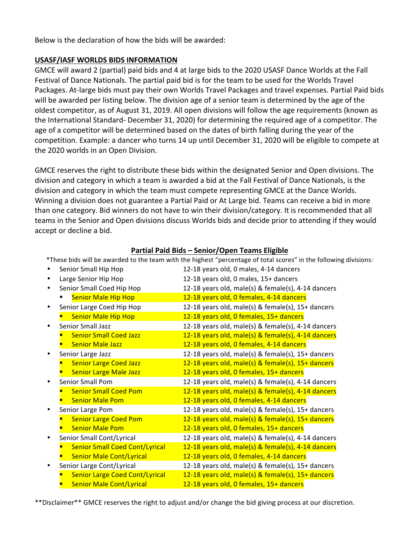Below is the declaration of how the bids will be awarded:

## **USASF/IASF WORLDS BIDS INFORMATION**

GMCE will award 2 (partial) paid bids and 4 at large bids to the 2020 USASF Dance Worlds at the Fall Festival of Dance Nationals. The partial paid bid is for the team to be used for the Worlds Travel Packages. At-large bids must pay their own Worlds Travel Packages and travel expenses. Partial Paid bids will be awarded per listing below. The division age of a senior team is determined by the age of the oldest competitor, as of August 31, 2019. All open divisions will follow the age requirements (known as the International Standard- December 31, 2020) for determining the required age of a competitor. The age of a competitor will be determined based on the dates of birth falling during the year of the competition. Example: a dancer who turns 14 up until December 31, 2020 will be eligible to compete at the 2020 worlds in an Open Division.

GMCE reserves the right to distribute these bids within the designated Senior and Open divisions. The division and category in which a team is awarded a bid at the Fall Festival of Dance Nationals, is the division and category in which the team must compete representing GMCE at the Dance Worlds. Winning a division does not guarantee a Partial Paid or At Large bid. Teams can receive a bid in more than one category. Bid winners do not have to win their division/category. It is recommended that all teams in the Senior and Open divisions discuss Worlds bids and decide prior to attending if they would accept or decline a bid.

| <b>Partial Paid Bids - Senior/Open Teams Eligible</b> |  |
|-------------------------------------------------------|--|
|                                                       |  |

|   |                                       | *These bids will be awarded to the team with the highest "percentage of total scores" in the following divisions: |
|---|---------------------------------------|-------------------------------------------------------------------------------------------------------------------|
|   | Senior Small Hip Hop                  | 12-18 years old, 0 males, 4-14 dancers                                                                            |
| ٠ | Large Senior Hip Hop                  | 12-18 years old, 0 males, 15+ dancers                                                                             |
|   | Senior Small Coed Hip Hop             | 12-18 years old, male(s) & female(s), 4-14 dancers                                                                |
|   | <b>Senior Male Hip Hop</b>            | 12-18 years old, 0 females, 4-14 dancers                                                                          |
|   | Senior Large Coed Hip Hop             | 12-18 years old, male(s) & female(s), 15+ dancers                                                                 |
|   | <b>Senior Male Hip Hop</b>            | 12-18 years old, 0 females, 15+ dancers                                                                           |
| ٠ | Senior Small Jazz                     | 12-18 years old, male(s) & female(s), 4-14 dancers                                                                |
|   | <b>Senior Small Coed Jazz</b>         | 12-18 years old, male(s) & female(s), 4-14 dancers                                                                |
|   | <b>Senior Male Jazz</b>               | 12-18 years old, 0 females, 4-14 dancers                                                                          |
|   | Senior Large Jazz                     | 12-18 years old, male(s) & female(s), 15+ dancers                                                                 |
|   | <b>Senior Large Coed Jazz</b>         | 12-18 years old, male(s) & female(s), 15+ dancers                                                                 |
|   | <b>Senior Large Male Jazz</b>         | 12-18 years old, 0 females, 15+ dancers                                                                           |
|   | Senior Small Pom                      | 12-18 years old, male(s) & female(s), 4-14 dancers                                                                |
|   | <b>Senior Small Coed Pom</b>          | 12-18 years old, male(s) & female(s), 4-14 dancers                                                                |
|   | <b>Senior Male Pom</b>                | 12-18 years old, 0 females, 4-14 dancers                                                                          |
|   | Senior Large Pom                      | 12-18 years old, male(s) & female(s), 15+ dancers                                                                 |
|   | <b>Senior Large Coed Pom</b>          | 12-18 years old, male(s) & female(s), 15+ dancers                                                                 |
|   | <b>Senior Male Pom</b>                | 12-18 years old, 0 females, 15+ dancers                                                                           |
| ٠ | Senior Small Cont/Lyrical             | 12-18 years old, male(s) & female(s), 4-14 dancers                                                                |
|   | <b>Senior Small Coed Cont/Lyrical</b> | 12-18 years old, male(s) & female(s), 4-14 dancers                                                                |
|   | <b>Senior Male Cont/Lyrical</b>       | 12-18 years old, 0 females, 4-14 dancers                                                                          |
|   | Senior Large Cont/Lyrical             | 12-18 years old, male(s) & female(s), 15+ dancers                                                                 |
|   | <b>Senior Large Coed Cont/Lyrical</b> | 12-18 years old, male(s) & female(s), 15+ dancers                                                                 |
|   | <b>Senior Male Cont/Lyrical</b>       | 12-18 years old, 0 females, 15+ dancers                                                                           |

\*\*Disclaimer\*\* GMCE reserves the right to adjust and/or change the bid giving process at our discretion.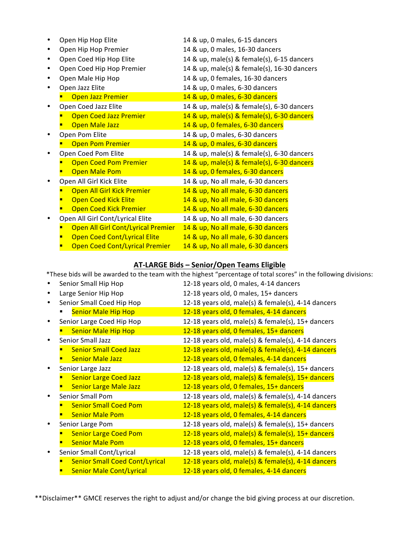| Open Hip Hop Elite                    | 14 & up, 0 males, 6-15 dancers              |
|---------------------------------------|---------------------------------------------|
| Open Hip Hop Premier                  | 14 & up, 0 males, 16-30 dancers             |
| Open Coed Hip Hop Elite               | 14 & up, male(s) & female(s), 6-15 dancers  |
| Open Coed Hip Hop Premier             | 14 & up, male(s) & female(s), 16-30 dancers |
| Open Male Hip Hop                     | 14 & up, 0 females, 16-30 dancers           |
| Open Jazz Elite                       | 14 & up, 0 males, 6-30 dancers              |
| <b>Open Jazz Premier</b>              | 14 & up, 0 males, 6-30 dancers              |
| Open Coed Jazz Elite                  | 14 & up, male(s) & female(s), 6-30 dancers  |
| <b>Open Coed Jazz Premier</b>         | 14 & up, male(s) & female(s), 6-30 dancers  |
| <b>Open Male Jazz</b>                 | 14 & up, 0 females, 6-30 dancers            |
| Open Pom Elite                        | 14 & up, 0 males, 6-30 dancers              |
| <b>Open Pom Premier</b>               | 14 & up, 0 males, 6-30 dancers              |
| Open Coed Pom Elite                   | 14 & up, male(s) & female(s), 6-30 dancers  |
| <b>Open Coed Pom Premier</b>          | 14 & up, male(s) & female(s), 6-30 dancers  |
| <b>Open Male Pom</b>                  | 14 & up, 0 females, 6-30 dancers            |
| Open All Girl Kick Elite              | 14 & up, No all male, 6-30 dancers          |
| Open All Girl Kick Premier            | 14 & up, No all male, 6-30 dancers          |
| <b>Open Coed Kick Elite</b>           | 14 & up, No all male, 6-30 dancers          |
| <b>Open Coed Kick Premier</b>         | 14 & up, No all male, 6-30 dancers          |
| Open All Girl Cont/Lyrical Elite      | 14 & up, No all male, 6-30 dancers          |
| Open All Girl Cont/Lyrical Premier    | 14 & up, No all male, 6-30 dancers          |
| <b>Open Coed Cont/Lyrical Elite</b>   | 14 & up, No all male, 6-30 dancers          |
| <b>Open Coed Cont/Lyrical Premier</b> | 14 & up, No all male, 6-30 dancers          |

## **AT-LARGE Bids – Senior/Open Teams Eligible**

\*These bids will be awarded to the team with the highest "percentage of total scores" in the following divisions:

| Senior Small Hip Hop                  | 12-18 years old, 0 males, 4-14 dancers             |
|---------------------------------------|----------------------------------------------------|
| Large Senior Hip Hop                  | 12-18 years old, 0 males, 15+ dancers              |
| Senior Small Coed Hip Hop             | 12-18 years old, male(s) & female(s), 4-14 dancers |
| <b>Senior Male Hip Hop</b>            | 12-18 years old, 0 females, 4-14 dancers           |
| Senior Large Coed Hip Hop             | 12-18 years old, male(s) & female(s), 15+ dancers  |
| <b>Senior Male Hip Hop</b>            | 12-18 years old, 0 females, 15+ dancers            |
| <b>Senior Small Jazz</b>              | 12-18 years old, male(s) & female(s), 4-14 dancers |
| <b>Senior Small Coed Jazz</b>         | 12-18 years old, male(s) & female(s), 4-14 dancers |
| <b>Senior Male Jazz</b>               | 12-18 years old, 0 females, 4-14 dancers           |
| Senior Large Jazz                     | 12-18 years old, male(s) & female(s), 15+ dancers  |
| <b>Senior Large Coed Jazz</b>         | 12-18 years old, male(s) & female(s), 15+ dancers  |
| <b>Senior Large Male Jazz</b>         | 12-18 years old, 0 females, 15+ dancers            |
| <b>Senior Small Pom</b>               | 12-18 years old, male(s) & female(s), 4-14 dancers |
| <b>Senior Small Coed Pom</b>          | 12-18 years old, male(s) & female(s), 4-14 dancers |
| <b>Senior Male Pom</b>                | 12-18 years old, 0 females, 4-14 dancers           |
| Senior Large Pom                      | 12-18 years old, male(s) & female(s), 15+ dancers  |
| <b>Senior Large Coed Pom</b>          | 12-18 years old, male(s) & female(s), 15+ dancers  |
| <b>Senior Male Pom</b>                | 12-18 years old, 0 females, 15+ dancers            |
| Senior Small Cont/Lyrical             | 12-18 years old, male(s) & female(s), 4-14 dancers |
| <b>Senior Small Coed Cont/Lyrical</b> | 12-18 years old, male(s) & female(s), 4-14 dancers |
| <b>Senior Male Cont/Lyrical</b>       | 12-18 years old, 0 females, 4-14 dancers           |

\*\*Disclaimer\*\* GMCE reserves the right to adjust and/or change the bid giving process at our discretion.